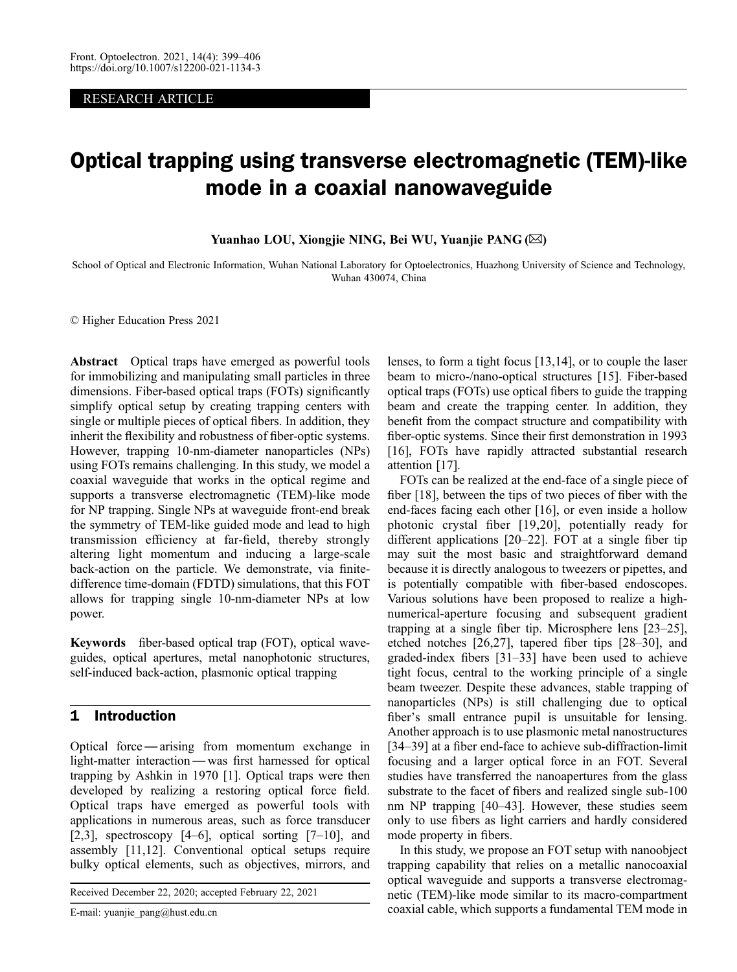#### RESEARCH ARTICLE

# Optical trapping using transverse electromagnetic (TEM)-like mode in a coaxial nanowaveguide

Yuanhao LOU, Xiongjie NING, Bei WU, Yuanjie PANG (✉)

School of Optical and Electronic Information, Wuhan National Laboratory for Optoelectronics, Huazhong University of Science and Technology, Wuhan 430074, China

© Higher Education Press 2021

Abstract Optical traps have emerged as powerful tools for immobilizing and manipulating small particles in three dimensions. Fiber-based optical traps (FOTs) significantly simplify optical setup by creating trapping centers with single or multiple pieces of optical fibers. In addition, they inherit the flexibility and robustness of fiber-optic systems. However, trapping 10-nm-diameter nanoparticles (NPs) using FOTs remains challenging. In this study, we model a coaxial waveguide that works in the optical regime and supports a transverse electromagnetic (TEM)-like mode for NP trapping. Single NPs at waveguide front-end break the symmetry of TEM-like guided mode and lead to high transmission efficiency at far-field, thereby strongly altering light momentum and inducing a large-scale back-action on the particle. We demonstrate, via finitedifference time-domain (FDTD) simulations, that this FOT allows for trapping single 10-nm-diameter NPs at low power.

Keywords fiber-based optical trap (FOT), optical waveguides, optical apertures, metal nanophotonic structures, self-induced back-action, plasmonic optical trapping

#### 1 Introduction

Optical force —arising from momentum exchange in light-matter interaction—was first harnessed for optical trapping by Ashkin in 1970 [[1\]](#page-5-0). Optical traps were then developed by realizing a restoring optical force field. Optical traps have emerged as powerful tools with applications in numerous areas, such as force transducer [\[2](#page-5-0),[3](#page-5-0)], spectroscopy  $[4–6]$  $[4–6]$  $[4–6]$  $[4–6]$ , optical sorting  $[7–10]$  $[7–10]$  $[7–10]$  $[7–10]$ , and assembly [\[11](#page-5-0),[12](#page-5-0)]. Conventional optical setups require bulky optical elements, such as objectives, mirrors, and

Received December 22, 2020; accepted February 22, 2021

E-mail: yuanjie\_pang@hust.edu.cn

lenses, to form a tight focus [[13,14](#page-5-0)], or to couple the laser beam to micro-/nano-optical structures [\[15\]](#page-5-0). Fiber-based optical traps (FOTs) use optical fibers to guide the trapping beam and create the trapping center. In addition, they benefit from the compact structure and compatibility with fiber-optic systems. Since their first demonstration in 1993 [[16](#page-5-0)], FOTs have rapidly attracted substantial research attention [[17](#page-5-0)].

FOTs can be realized at the end-face of a single piece of fiber [[18](#page-5-0)], between the tips of two pieces of fiber with the end-faces facing each other [[16](#page-5-0)], or even inside a hollow photonic crystal fiber [[19,20](#page-5-0)], potentially ready for different applications [[20](#page-5-0)–[22](#page-5-0)]. FOT at a single fiber tip may suit the most basic and straightforward demand because it is directly analogous to tweezers or pipettes, and is potentially compatible with fiber-based endoscopes. Various solutions have been proposed to realize a highnumerical-aperture focusing and subsequent gradient trapping at a single fiber tip. Microsphere lens [[23](#page-5-0)–[25\]](#page-5-0), etched notches [[26](#page-5-0),[27](#page-5-0)], tapered fiber tips [\[28](#page-5-0)–[30](#page-5-0)], and graded-index fibers [[31](#page-6-0)–[33](#page-6-0)] have been used to achieve tight focus, central to the working principle of a single beam tweezer. Despite these advances, stable trapping of nanoparticles (NPs) is still challenging due to optical fiber's small entrance pupil is unsuitable for lensing. Another approach is to use plasmonic metal nanostructures [[34](#page-6-0)–[39\]](#page-6-0) at a fiber end-face to achieve sub-diffraction-limit focusing and a larger optical force in an FOT. Several studies have transferred the nanoapertures from the glass substrate to the facet of fibers and realized single sub-100 nm NP trapping [\[40](#page-6-0)–[43\]](#page-6-0). However, these studies seem only to use fibers as light carriers and hardly considered mode property in fibers.

In this study, we propose an FOT setup with nanoobject trapping capability that relies on a metallic nanocoaxial optical waveguide and supports a transverse electromagnetic (TEM)-like mode similar to its macro-compartment coaxial cable, which supports a fundamental TEM mode in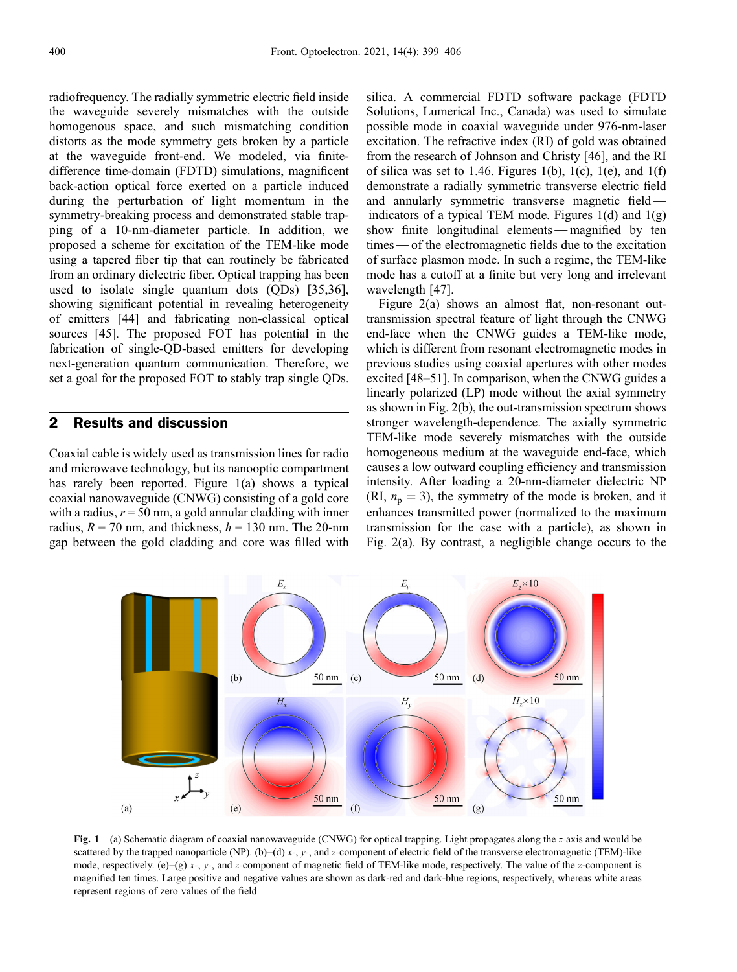radiofrequency. The radially symmetric electric field inside the waveguide severely mismatches with the outside homogenous space, and such mismatching condition distorts as the mode symmetry gets broken by a particle at the waveguide front-end. We modeled, via finitedifference time-domain (FDTD) simulations, magnificent back-action optical force exerted on a particle induced during the perturbation of light momentum in the symmetry-breaking process and demonstrated stable trapping of a 10-nm-diameter particle. In addition, we proposed a scheme for excitation of the TEM-like mode using a tapered fiber tip that can routinely be fabricated from an ordinary dielectric fiber. Optical trapping has been used to isolate single quantum dots (QDs) [[35,36\]](#page-6-0), showing significant potential in revealing heterogeneity of emitters [[44\]](#page-6-0) and fabricating non-classical optical sources [[45](#page-6-0)]. The proposed FOT has potential in the fabrication of single-QD-based emitters for developing next-generation quantum communication. Therefore, we set a goal for the proposed FOT to stably trap single QDs.

### 2 Results and discussion

Coaxial cable is widely used as transmission lines for radio and microwave technology, but its nanooptic compartment has rarely been reported. Figure 1(a) shows a typical coaxial nanowaveguide (CNWG) consisting of a gold core with a radius,  $r = 50$  nm, a gold annular cladding with inner radius,  $R = 70$  nm, and thickness,  $h = 130$  nm. The 20-nm gap between the gold cladding and core was filled with

silica. A commercial FDTD software package (FDTD Solutions, Lumerical Inc., Canada) was used to simulate possible mode in coaxial waveguide under 976-nm-laser excitation. The refractive index (RI) of gold was obtained from the research of Johnson and Christy [46], and the RI of silica was set to 1.46. Figures 1(b), 1(c), 1(e), and 1(f) demonstrate a radially symmetric transverse electric field and annularly symmetric transverse magnetic field indicators of a typical TEM mode. Figures  $1(d)$  and  $1(g)$ show finite longitudinal elements — magnified by ten times—of the electromagnetic fields due to the excitation of surface plasmon mode. In such a regime, the TEM-like mode has a cutoff at a finite but very long and irrelevant wavelength [[47\]](#page-6-0).

Figure 2(a) shows an almost flat, non-resonant outtransmission spectral feature of light through the CNWG end-face when the CNWG guides a TEM-like mode, which is different from resonant electromagnetic modes in previous studies using coaxial apertures with other modes excited [[48](#page-6-0)–[51\]](#page-6-0). In comparison, when the CNWG guides a linearly polarized (LP) mode without the axial symmetry as shown in Fig. 2(b), the out-transmission spectrum shows stronger wavelength-dependence. The axially symmetric TEM-like mode severely mismatches with the outside homogeneous medium at the waveguide end-face, which causes a low outward coupling efficiency and transmission intensity. After loading a 20-nm-diameter dielectric NP (RI,  $n_p = 3$ ), the symmetry of the mode is broken, and it enhances transmitted power (normalized to the maximum transmission for the case with a particle), as shown in Fig. 2(a). By contrast, a negligible change occurs to the



Fig. 1 (a) Schematic diagram of coaxial nanowaveguide (CNWG) for optical trapping. Light propagates along the z-axis and would be scattered by the trapped nanoparticle (NP). (b)–(d) x-, y-, and z-component of electric field of the transverse electromagnetic (TEM)-like mode, respectively. (e)–(g) x-, y-, and z-component of magnetic field of TEM-like mode, respectively. The value of the z-component is magnified ten times. Large positive and negative values are shown as dark-red and dark-blue regions, respectively, whereas white areas represent regions of zero values of the field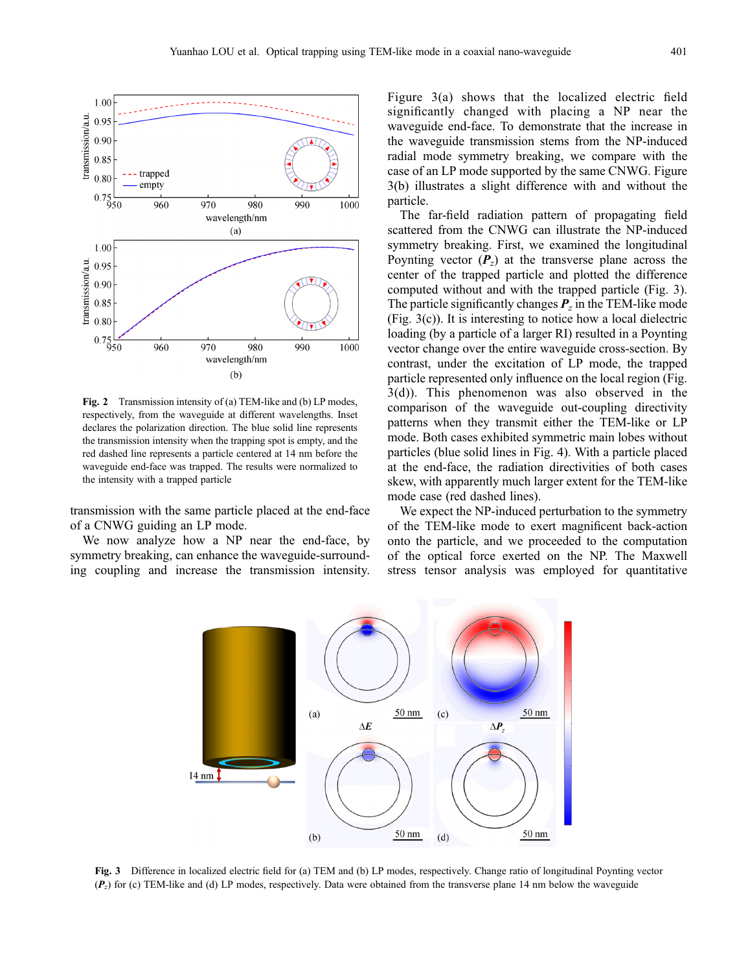

Fig. 2 Transmission intensity of (a) TEM-like and (b) LP modes, respectively, from the waveguide at different wavelengths. Inset declares the polarization direction. The blue solid line represents the transmission intensity when the trapping spot is empty, and the red dashed line represents a particle centered at 14 nm before the waveguide end-face was trapped. The results were normalized to the intensity with a trapped particle

transmission with the same particle placed at the end-face of a CNWG guiding an LP mode.

We now analyze how a NP near the end-face, by symmetry breaking, can enhance the waveguide-surrounding coupling and increase the transmission intensity.

Figure 3(a) shows that the localized electric field significantly changed with placing a NP near the waveguide end-face. To demonstrate that the increase in the waveguide transmission stems from the NP-induced radial mode symmetry breaking, we compare with the case of an LP mode supported by the same CNWG. Figure 3(b) illustrates a slight difference with and without the particle.

The far-field radiation pattern of propagating field scattered from the CNWG can illustrate the NP-induced symmetry breaking. First, we examined the longitudinal Poynting vector  $(P_z)$  at the transverse plane across the center of the trapped particle and plotted the difference computed without and with the trapped particle (Fig. 3). The particle significantly changes  $P_z$  in the TEM-like mode (Fig. 3(c)). It is interesting to notice how a local dielectric loading (by a particle of a larger RI) resulted in a Poynting vector change over the entire waveguide cross-section. By contrast, under the excitation of LP mode, the trapped particle represented only influence on the local region (Fig. 3(d)). This phenomenon was also observed in the comparison of the waveguide out-coupling directivity patterns when they transmit either the TEM-like or LP mode. Both cases exhibited symmetric main lobes without particles (blue solid lines in Fig. 4). With a particle placed at the end-face, the radiation directivities of both cases skew, with apparently much larger extent for the TEM-like mode case (red dashed lines).

We expect the NP-induced perturbation to the symmetry of the TEM-like mode to exert magnificent back-action onto the particle, and we proceeded to the computation of the optical force exerted on the NP. The Maxwell stress tensor analysis was employed for quantitative



Fig. 3 Difference in localized electric field for (a) TEM and (b) LP modes, respectively. Change ratio of longitudinal Poynting vector  $(P<sub>z</sub>)$  for (c) TEM-like and (d) LP modes, respectively. Data were obtained from the transverse plane 14 nm below the waveguide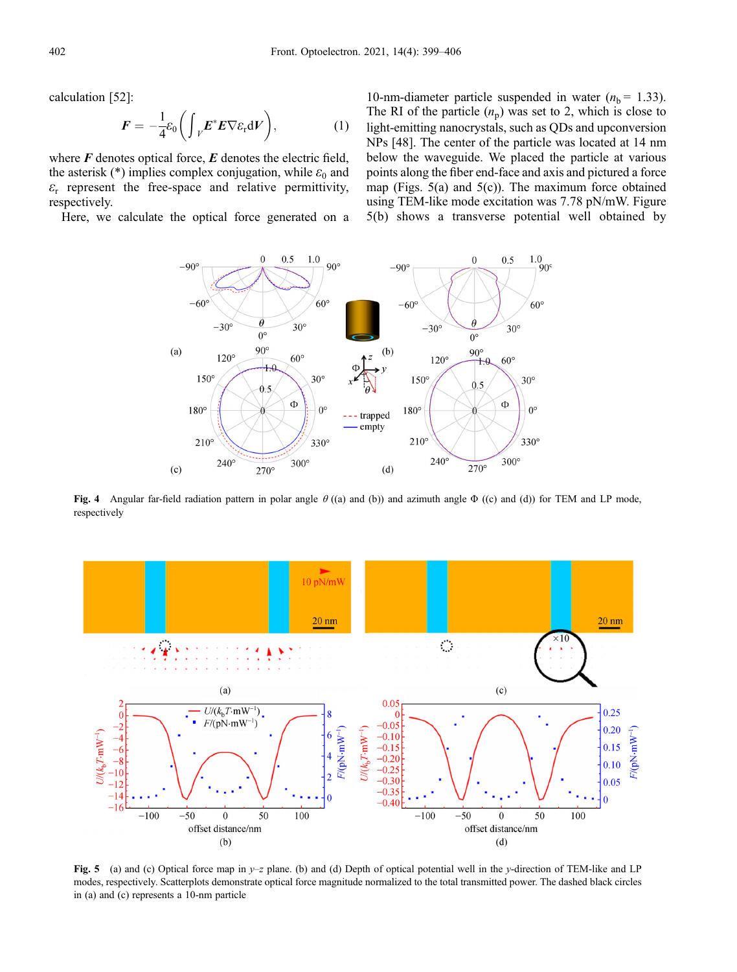calculation [[52\]](#page-6-0):

$$
F = -\frac{1}{4}\varepsilon_0 \bigg( \int_V E^* E \nabla \varepsilon_{\rm r} dV \bigg), \qquad (1)
$$

where  $F$  denotes optical force,  $E$  denotes the electric field, the asterisk (\*) implies complex conjugation, while  $\varepsilon_0$  and  $\varepsilon$ <sub>r</sub> represent the free-space and relative permittivity, respectively.

Here, we calculate the optical force generated on a

10-nm-diameter particle suspended in water ( $n<sub>b</sub> = 1.33$ ). The RI of the particle  $(n_p)$  was set to 2, which is close to light-emitting nanocrystals, such as QDs and upconversion NPs [\[48\]](#page-6-0). The center of the particle was located at 14 nm below the waveguide. We placed the particle at various points along the fiber end-face and axis and pictured a force map (Figs. 5(a) and 5(c)). The maximum force obtained using TEM-like mode excitation was 7.78 pN/mW. Figure 5(b) shows a transverse potential well obtained by



Fig. 4 Angular far-field radiation pattern in polar angle  $\theta$  ((a) and (b)) and azimuth angle  $\Phi$  ((c) and (d)) for TEM and LP mode, respectively



Fig. 5 (a) and (c) Optical force map in y-z plane. (b) and (d) Depth of optical potential well in the y-direction of TEM-like and LP modes, respectively. Scatterplots demonstrate optical force magnitude normalized to the total transmitted power. The dashed black circles in (a) and (c) represents a 10-nm particle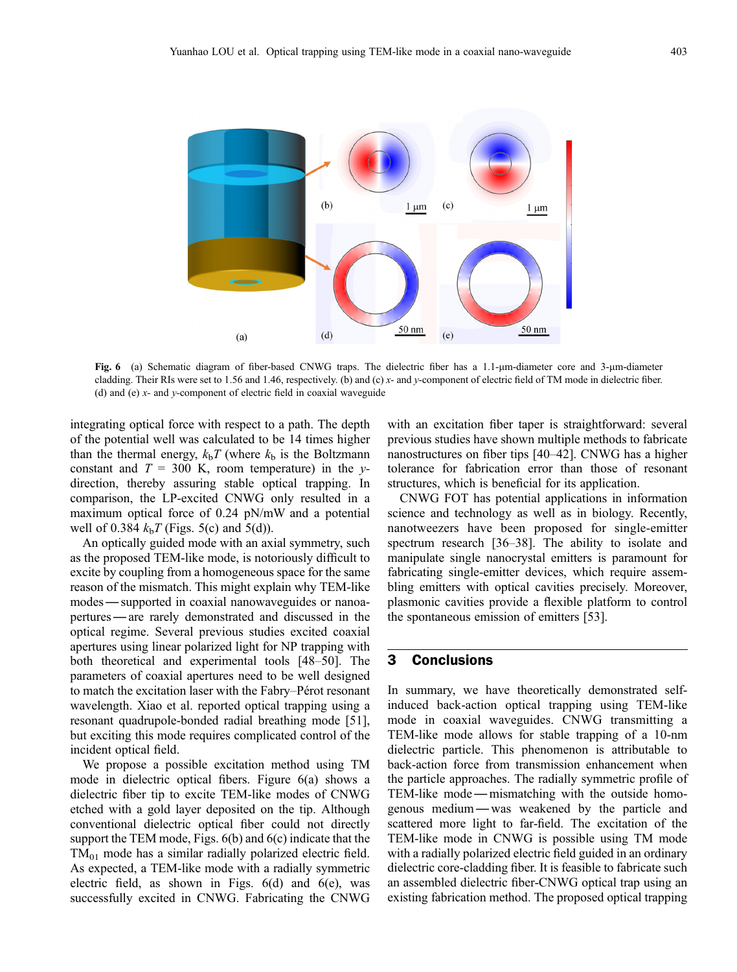

Fig. 6 (a) Schematic diagram of fiber-based CNWG traps. The dielectric fiber has a 1.1-um-diameter core and 3-um-diameter cladding. Their RIs were set to 1.56 and 1.46, respectively. (b) and (c) x- and y-component of electric field of TM mode in dielectric fiber. (d) and (e)  $x$ - and  $y$ -component of electric field in coaxial waveguide

integrating optical force with respect to a path. The depth of the potential well was calculated to be 14 times higher than the thermal energy,  $k<sub>b</sub>T$  (where  $k<sub>b</sub>$  is the Boltzmann constant and  $T = 300$  K, room temperature) in the ydirection, thereby assuring stable optical trapping. In comparison, the LP-excited CNWG only resulted in a maximum optical force of 0.24 pN/mW and a potential well of 0.384  $k_bT$  (Figs. 5(c) and 5(d)).

An optically guided mode with an axial symmetry, such as the proposed TEM-like mode, is notoriously difficult to excite by coupling from a homogeneous space for the same reason of the mismatch. This might explain why TEM-like modes—supported in coaxial nanowaveguides or nanoapertures—are rarely demonstrated and discussed in the optical regime. Several previous studies excited coaxial apertures using linear polarized light for NP trapping with both theoretical and experimental tools [\[48](#page-6-0)–[50](#page-6-0)]. The parameters of coaxial apertures need to be well designed to match the excitation laser with the Fabry–Pérot resonant wavelength. Xiao et al. reported optical trapping using a resonant quadrupole-bonded radial breathing mode [[51](#page-6-0)], but exciting this mode requires complicated control of the incident optical field.

We propose a possible excitation method using TM mode in dielectric optical fibers. Figure 6(a) shows a dielectric fiber tip to excite TEM-like modes of CNWG etched with a gold layer deposited on the tip. Although conventional dielectric optical fiber could not directly support the TEM mode, Figs. 6(b) and 6(c) indicate that the  $TM_{01}$  mode has a similar radially polarized electric field. As expected, a TEM-like mode with a radially symmetric electric field, as shown in Figs. 6(d) and 6(e), was successfully excited in CNWG. Fabricating the CNWG

with an excitation fiber taper is straightforward: several previous studies have shown multiple methods to fabricate nanostructures on fiber tips [\[40](#page-6-0)–[42](#page-6-0)]. CNWG has a higher tolerance for fabrication error than those of resonant structures, which is beneficial for its application.

CNWG FOT has potential applications in information science and technology as well as in biology. Recently, nanotweezers have been proposed for single-emitter spectrum research [[36](#page-6-0)–[38\]](#page-6-0). The ability to isolate and manipulate single nanocrystal emitters is paramount for fabricating single-emitter devices, which require assembling emitters with optical cavities precisely. Moreover, plasmonic cavities provide a flexible platform to control the spontaneous emission of emitters [[53](#page-6-0)].

## 3 Conclusions

In summary, we have theoretically demonstrated selfinduced back-action optical trapping using TEM-like mode in coaxial waveguides. CNWG transmitting a TEM-like mode allows for stable trapping of a 10-nm dielectric particle. This phenomenon is attributable to back-action force from transmission enhancement when the particle approaches. The radially symmetric profile of TEM-like mode— mismatching with the outside homogenous medium —was weakened by the particle and scattered more light to far-field. The excitation of the TEM-like mode in CNWG is possible using TM mode with a radially polarized electric field guided in an ordinary dielectric core-cladding fiber. It is feasible to fabricate such an assembled dielectric fiber-CNWG optical trap using an existing fabrication method. The proposed optical trapping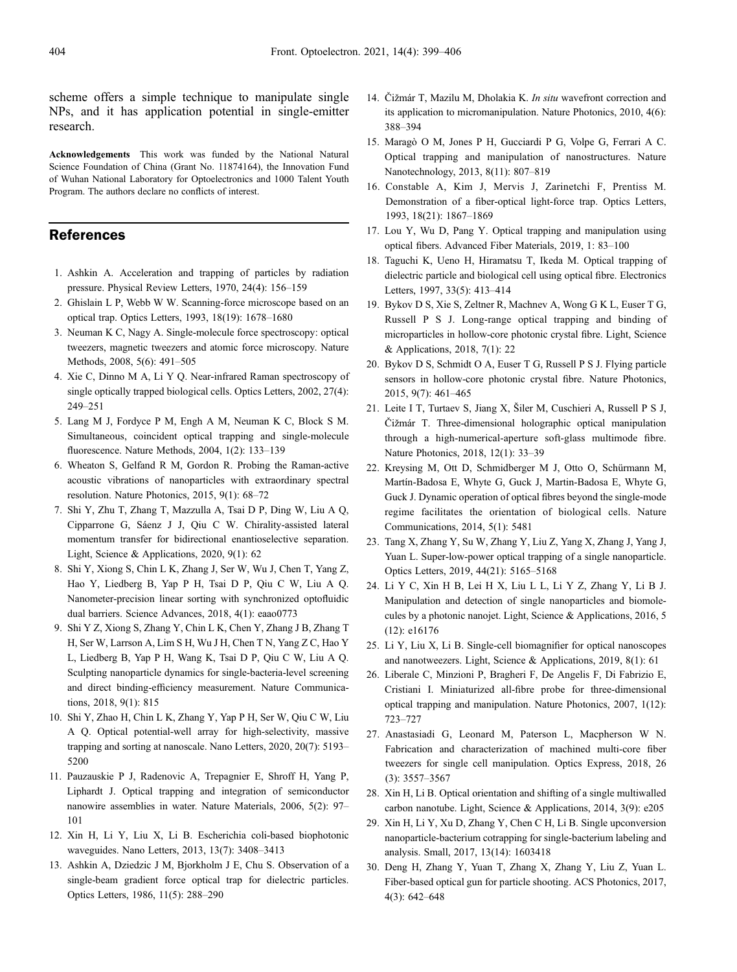<span id="page-5-0"></span>scheme offers a simple technique to manipulate single NPs, and it has application potential in single-emitter research.

Acknowledgements This work was funded by the National Natural Science Foundation of China (Grant No. 11874164), the Innovation Fund of Wuhan National Laboratory for Optoelectronics and 1000 Talent Youth Program. The authors declare no conflicts of interest.

### References

- 1. Ashkin A. Acceleration and trapping of particles by radiation pressure. Physical Review Letters, 1970, 24(4): 156–159
- 2. Ghislain L P, Webb W W. Scanning-force microscope based on an optical trap. Optics Letters, 1993, 18(19): 1678–1680
- 3. Neuman K C, Nagy A. Single-molecule force spectroscopy: optical tweezers, magnetic tweezers and atomic force microscopy. Nature Methods, 2008, 5(6): 491–505
- 4. Xie C, Dinno M A, Li Y Q. Near-infrared Raman spectroscopy of single optically trapped biological cells. Optics Letters, 2002, 27(4): 249–251
- 5. Lang M J, Fordyce P M, Engh A M, Neuman K C, Block S M. Simultaneous, coincident optical trapping and single-molecule fluorescence. Nature Methods, 2004, 1(2): 133–139
- 6. Wheaton S, Gelfand R M, Gordon R. Probing the Raman-active acoustic vibrations of nanoparticles with extraordinary spectral resolution. Nature Photonics, 2015, 9(1): 68–72
- 7. Shi Y, Zhu T, Zhang T, Mazzulla A, Tsai D P, Ding W, Liu A Q, Cipparrone G, Sáenz J J, Qiu C W. Chirality-assisted lateral momentum transfer for bidirectional enantioselective separation. Light, Science & Applications, 2020, 9(1): 62
- 8. Shi Y, Xiong S, Chin L K, Zhang J, Ser W, Wu J, Chen T, Yang Z, Hao Y, Liedberg B, Yap P H, Tsai D P, Qiu C W, Liu A Q. Nanometer-precision linear sorting with synchronized optofluidic dual barriers. Science Advances, 2018, 4(1): eaao0773
- 9. Shi Y Z, Xiong S, Zhang Y, Chin L K, Chen Y, Zhang J B, Zhang T H, Ser W, Larrson A, Lim S H, Wu J H, Chen T N, Yang Z C, Hao Y L, Liedberg B, Yap P H, Wang K, Tsai D P, Qiu C W, Liu A Q. Sculpting nanoparticle dynamics for single-bacteria-level screening and direct binding-efficiency measurement. Nature Communications, 2018, 9(1): 815
- 10. Shi Y, Zhao H, Chin L K, Zhang Y, Yap P H, Ser W, Qiu C W, Liu A Q. Optical potential-well array for high-selectivity, massive trapping and sorting at nanoscale. Nano Letters, 2020, 20(7): 5193– 5200
- 11. Pauzauskie P J, Radenovic A, Trepagnier E, Shroff H, Yang P, Liphardt J. Optical trapping and integration of semiconductor nanowire assemblies in water. Nature Materials, 2006, 5(2): 97– 101
- 12. Xin H, Li Y, Liu X, Li B. Escherichia coli-based biophotonic waveguides. Nano Letters, 2013, 13(7): 3408–3413
- 13. Ashkin A, Dziedzic J M, Bjorkholm J E, Chu S. Observation of a single-beam gradient force optical trap for dielectric particles. Optics Letters, 1986, 11(5): 288–290
- 14. Čižmár T, Mazilu M, Dholakia K, *In situ* wavefront correction and its application to micromanipulation. Nature Photonics, 2010, 4(6): 388–394
- 15. Maragò O M, Jones P H, Gucciardi P G, Volpe G, Ferrari A C. Optical trapping and manipulation of nanostructures. Nature Nanotechnology, 2013, 8(11): 807–819
- 16. Constable A, Kim J, Mervis J, Zarinetchi F, Prentiss M. Demonstration of a fiber-optical light-force trap. Optics Letters, 1993, 18(21): 1867–1869
- 17. Lou Y, Wu D, Pang Y. Optical trapping and manipulation using optical fibers. Advanced Fiber Materials, 2019, 1: 83–100
- 18. Taguchi K, Ueno H, Hiramatsu T, Ikeda M. Optical trapping of dielectric particle and biological cell using optical fibre. Electronics Letters, 1997, 33(5): 413–414
- 19. Bykov D S, Xie S, Zeltner R, Machnev A, Wong G K L, Euser T G, Russell P S J. Long-range optical trapping and binding of microparticles in hollow-core photonic crystal fibre. Light, Science & Applications, 2018, 7(1): 22
- 20. Bykov D S, Schmidt O A, Euser T G, Russell P S J. Flying particle sensors in hollow-core photonic crystal fibre. Nature Photonics, 2015, 9(7): 461–465
- 21. Leite I T, Turtaev S, Jiang X, Šiler M, Cuschieri A, Russell P S J, Čižmár T. Three-dimensional holographic optical manipulation through a high-numerical-aperture soft-glass multimode fibre. Nature Photonics, 2018, 12(1): 33–39
- 22. Kreysing M, Ott D, Schmidberger M J, Otto O, Schürmann M, Martín-Badosa E, Whyte G, Guck J, Martin-Badosa E, Whyte G, Guck J. Dynamic operation of optical fibres beyond the single-mode regime facilitates the orientation of biological cells. Nature Communications, 2014, 5(1): 5481
- 23. Tang X, Zhang Y, Su W, Zhang Y, Liu Z, Yang X, Zhang J, Yang J, Yuan L. Super-low-power optical trapping of a single nanoparticle. Optics Letters, 2019, 44(21): 5165–5168
- 24. Li Y C, Xin H B, Lei H X, Liu L L, Li Y Z, Zhang Y, Li B J. Manipulation and detection of single nanoparticles and biomolecules by a photonic nanojet. Light, Science & Applications, 2016, 5 (12): e16176
- 25. Li Y, Liu X, Li B. Single-cell biomagnifier for optical nanoscopes and nanotweezers. Light, Science & Applications, 2019, 8(1): 61
- 26. Liberale C, Minzioni P, Bragheri F, De Angelis F, Di Fabrizio E, Cristiani I. Miniaturized all-fibre probe for three-dimensional optical trapping and manipulation. Nature Photonics, 2007, 1(12): 723–727
- 27. Anastasiadi G, Leonard M, Paterson L, Macpherson W N. Fabrication and characterization of machined multi-core fiber tweezers for single cell manipulation. Optics Express, 2018, 26 (3): 3557–3567
- 28. Xin H, Li B. Optical orientation and shifting of a single multiwalled carbon nanotube. Light, Science & Applications, 2014, 3(9): e205
- 29. Xin H, Li Y, Xu D, Zhang Y, Chen C H, Li B. Single upconversion nanoparticle-bacterium cotrapping for single-bacterium labeling and analysis. Small, 2017, 13(14): 1603418
- 30. Deng H, Zhang Y, Yuan T, Zhang X, Zhang Y, Liu Z, Yuan L. Fiber-based optical gun for particle shooting. ACS Photonics, 2017, 4(3): 642–648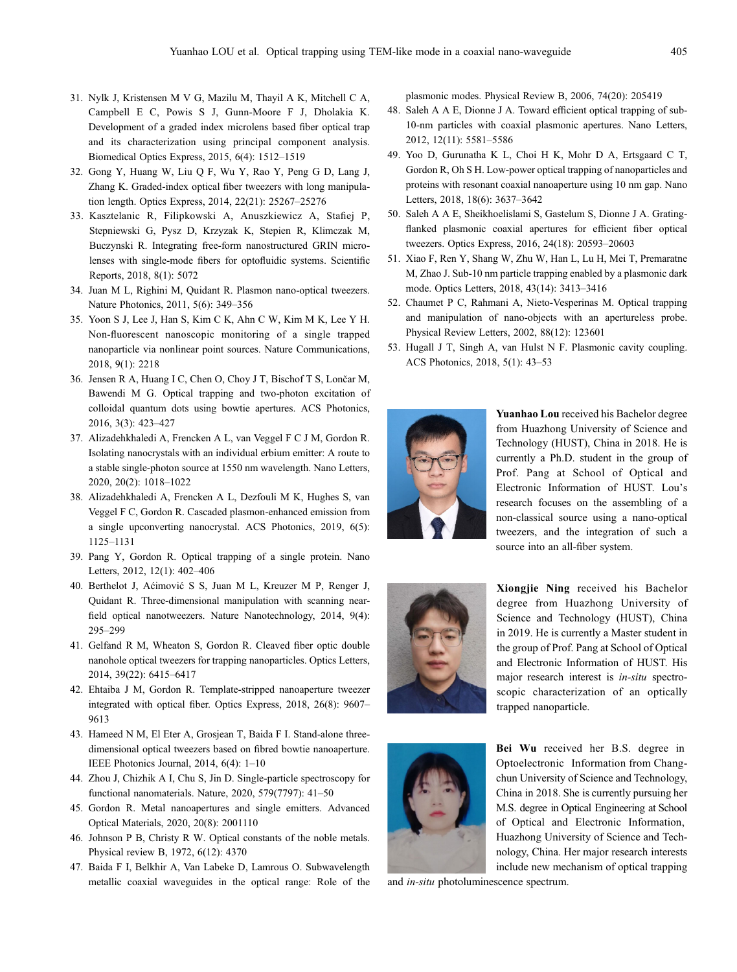- <span id="page-6-0"></span>31. Nylk J, Kristensen M V G, Mazilu M, Thayil A K, Mitchell C A, Campbell E C, Powis S J, Gunn-Moore F J, Dholakia K. Development of a graded index microlens based fiber optical trap and its characterization using principal component analysis. Biomedical Optics Express, 2015, 6(4): 1512–1519
- 32. Gong Y, Huang W, Liu Q F, Wu Y, Rao Y, Peng G D, Lang J, Zhang K. Graded-index optical fiber tweezers with long manipulation length. Optics Express, 2014, 22(21): 25267–25276
- 33. Kasztelanic R, Filipkowski A, Anuszkiewicz A, Stafiej P, Stepniewski G, Pysz D, Krzyzak K, Stepien R, Klimczak M, Buczynski R. Integrating free-form nanostructured GRIN microlenses with single-mode fibers for optofluidic systems. Scientific Reports, 2018, 8(1): 5072
- 34. Juan M L, Righini M, Quidant R. Plasmon nano-optical tweezers. Nature Photonics, 2011, 5(6): 349–356
- 35. Yoon S J, Lee J, Han S, Kim C K, Ahn C W, Kim M K, Lee Y H. Non-fluorescent nanoscopic monitoring of a single trapped nanoparticle via nonlinear point sources. Nature Communications, 2018, 9(1): 2218
- 36. Jensen R A, Huang I C, Chen O, Choy J T, Bischof T S, Lončar M, Bawendi M G. Optical trapping and two-photon excitation of colloidal quantum dots using bowtie apertures. ACS Photonics, 2016, 3(3): 423–427
- 37. Alizadehkhaledi A, Frencken A L, van Veggel F C J M, Gordon R. Isolating nanocrystals with an individual erbium emitter: A route to a stable single-photon source at 1550 nm wavelength. Nano Letters, 2020, 20(2): 1018–1022
- 38. Alizadehkhaledi A, Frencken A L, Dezfouli M K, Hughes S, van Veggel F C, Gordon R. Cascaded plasmon-enhanced emission from a single upconverting nanocrystal. ACS Photonics, 2019, 6(5): 1125–1131
- 39. Pang Y, Gordon R. Optical trapping of a single protein. Nano Letters, 2012, 12(1): 402–406
- 40. Berthelot J, Aćimović S S, Juan M L, Kreuzer M P, Renger J, Quidant R. Three-dimensional manipulation with scanning nearfield optical nanotweezers. Nature Nanotechnology, 2014, 9(4): 295–299
- 41. Gelfand R M, Wheaton S, Gordon R. Cleaved fiber optic double nanohole optical tweezers for trapping nanoparticles. Optics Letters, 2014, 39(22): 6415–6417
- 42. Ehtaiba J M, Gordon R. Template-stripped nanoaperture tweezer integrated with optical fiber. Optics Express, 2018, 26(8): 9607– 9613
- 43. Hameed N M, El Eter A, Grosjean T, Baida F I. Stand-alone threedimensional optical tweezers based on fibred bowtie nanoaperture. IEEE Photonics Journal, 2014, 6(4): 1–10
- 44. Zhou J, Chizhik A I, Chu S, Jin D. Single-particle spectroscopy for functional nanomaterials. Nature, 2020, 579(7797): 41–50
- 45. Gordon R. Metal nanoapertures and single emitters. Advanced Optical Materials, 2020, 20(8): 2001110
- 46. Johnson P B, Christy R W. Optical constants of the noble metals. Physical review B, 1972, 6(12): 4370
- 47. Baida F I, Belkhir A, Van Labeke D, Lamrous O. Subwavelength metallic coaxial waveguides in the optical range: Role of the

plasmonic modes. Physical Review B, 2006, 74(20): 205419

- 48. Saleh A A E, Dionne J A. Toward efficient optical trapping of sub-10-nm particles with coaxial plasmonic apertures. Nano Letters, 2012, 12(11): 5581–5586
- 49. Yoo D, Gurunatha K L, Choi H K, Mohr D A, Ertsgaard C T, Gordon R, Oh S H. Low-power optical trapping of nanoparticles and proteins with resonant coaxial nanoaperture using 10 nm gap. Nano Letters, 2018, 18(6): 3637–3642
- 50. Saleh A A E, Sheikhoelislami S, Gastelum S, Dionne J A. Gratingflanked plasmonic coaxial apertures for efficient fiber optical tweezers. Optics Express, 2016, 24(18): 20593–20603
- 51. Xiao F, Ren Y, Shang W, Zhu W, Han L, Lu H, Mei T, Premaratne M, Zhao J. Sub-10 nm particle trapping enabled by a plasmonic dark mode. Optics Letters, 2018, 43(14): 3413–3416
- 52. Chaumet P C, Rahmani A, Nieto-Vesperinas M. Optical trapping and manipulation of nano-objects with an apertureless probe. Physical Review Letters, 2002, 88(12): 123601
- 53. Hugall J T, Singh A, van Hulst N F. Plasmonic cavity coupling. ACS Photonics, 2018, 5(1): 43–53



Yuanhao Lou received his Bachelor degree from Huazhong University of Science and Technology (HUST), China in 2018. He is currently a Ph.D. student in the group of Prof. Pang at School of Optical and Electronic Information of HUST. Lou's research focuses on the assembling of a non-classical source using a nano-optical tweezers, and the integration of such a source into an all-fiber system.







Bei Wu received her B.S. degree in Optoelectronic Information from Changchun University of Science and Technology, China in 2018. She is currently pursuing her M.S. degree in Optical Engineering at School of Optical and Electronic Information, Huazhong University of Science and Technology, China. Her major research interests include new mechanism of optical trapping

and in-situ photoluminescence spectrum.